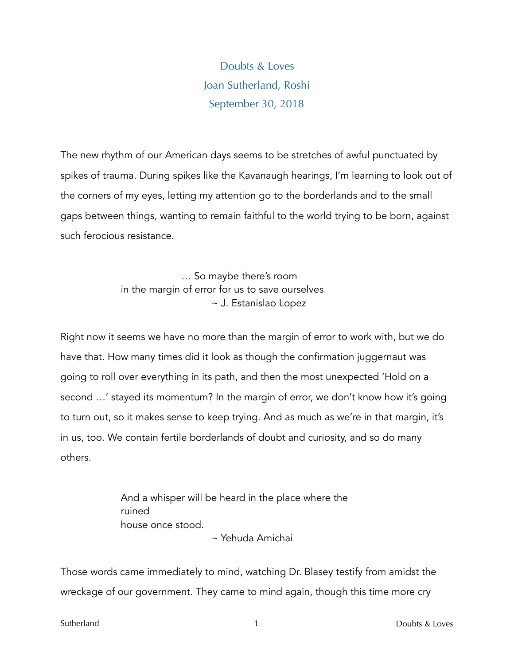Doubts & Loves Joan Sutherland, Roshi September 30, 2018

The new rhythm of our American days seems to be stretches of awful punctuated by spikes of trauma. During spikes like the Kavanaugh hearings, I'm learning to look out of the corners of my eyes, letting my attention go to the borderlands and to the small gaps between things, wanting to remain faithful to the world trying to be born, against such ferocious resistance.

> … So maybe there's room in the margin of error for us to save ourselves ~ J. Estanislao Lopez

Right now it seems we have no more than the margin of error to work with, but we do have that. How many times did it look as though the confirmation juggernaut was going to roll over everything in its path, and then the most unexpected 'Hold on a second …' stayed its momentum? In the margin of error, we don't know how it's going to turn out, so it makes sense to keep trying. And as much as we're in that margin, it's in us, too. We contain fertile borderlands of doubt and curiosity, and so do many others.

> And a whisper will be heard in the place where the ruined house once stood.

~ Yehuda Amichai

Those words came immediately to mind, watching Dr. Blasey testify from amidst the wreckage of our government. They came to mind again, though this time more cry